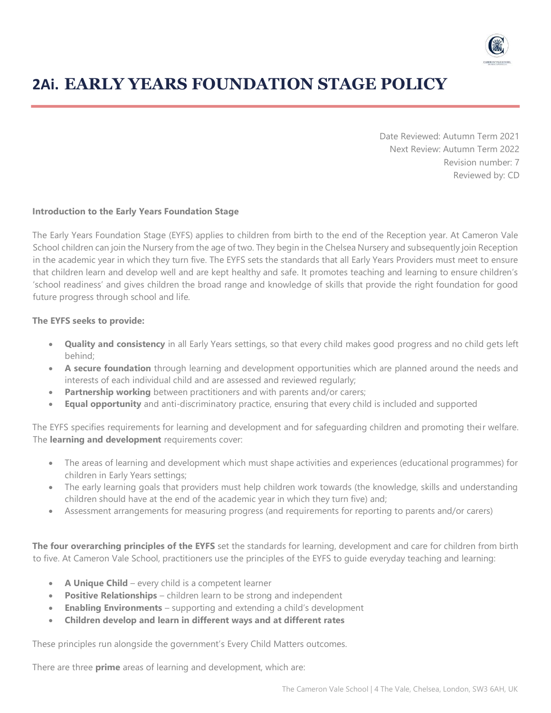

# **2Ai. EARLY YEARS FOUNDATION STAGE POLICY**

Date Reviewed: Autumn Term 2021 Next Review: Autumn Term 2022 Revision number: 7 Reviewed by: CD

#### **Introduction to the Early Years Foundation Stage**

The Early Years Foundation Stage (EYFS) applies to children from birth to the end of the Reception year. At Cameron Vale School children can join the Nursery from the age of two. They begin in the Chelsea Nursery and subsequently join Reception in the academic year in which they turn five. The EYFS sets the standards that all Early Years Providers must meet to ensure that children learn and develop well and are kept healthy and safe. It promotes teaching and learning to ensure children's 'school readiness' and gives children the broad range and knowledge of skills that provide the right foundation for good future progress through school and life.

#### **The EYFS seeks to provide:**

- **Quality and consistency** in all Early Years settings, so that every child makes good progress and no child gets left behind;
- **A secure foundation** through learning and development opportunities which are planned around the needs and interests of each individual child and are assessed and reviewed regularly;
- **Partnership working** between practitioners and with parents and/or carers;
- **Equal opportunity** and anti-discriminatory practice, ensuring that every child is included and supported

The EYFS specifies requirements for learning and development and for safeguarding children and promoting their welfare. The **learning and development** requirements cover:

- The areas of learning and development which must shape activities and experiences (educational programmes) for children in Early Years settings;
- The early learning goals that providers must help children work towards (the knowledge, skills and understanding children should have at the end of the academic year in which they turn five) and;
- Assessment arrangements for measuring progress (and requirements for reporting to parents and/or carers)

**The four overarching principles of the EYFS** set the standards for learning, development and care for children from birth to five. At Cameron Vale School, practitioners use the principles of the EYFS to guide everyday teaching and learning:

- **A Unique Child** every child is a competent learner
- **Positive Relationships** children learn to be strong and independent
- **Enabling Environments** supporting and extending a child's development
- **Children develop and learn in different ways and at different rates**

These principles run alongside the government's Every Child Matters outcomes.

There are three **prime** areas of learning and development, which are: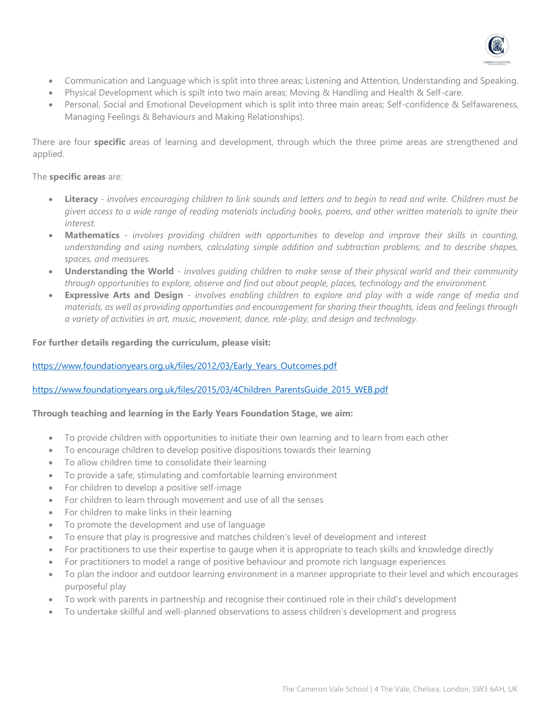

- Communication and Language which is split into three areas; Listening and Attention, Understanding and Speaking.
- Physical Development which is spilt into two main areas; Moving & Handling and Health & Self-care.
- Personal, Social and Emotional Development which is split into three main areas; Self-confidence & Selfawareness, Managing Feelings & Behaviours and Making Relationships).

There are four **specific** areas of learning and development, through which the three prime areas are strengthened and applied.

## The **specific areas** are:

- **Literacy**  *involves encouraging children to link sounds and letters and to begin to read and write. Children must be given access to a wide range of reading materials including books, poems, and other written materials to ignite their interest.*
- **Mathematics** *involves providing children with opportunities to develop and improve their skills in counting, understanding and using numbers, calculating simple addition and subtraction problems; and to describe shapes, spaces, and measures.*
- **Understanding the World** *involves guiding children to make sense of their physical world and their community through opportunities to explore, observe and find out about people, places, technology and the environment.*
- **Expressive Arts and Design** *involves enabling children to explore and play with a wide range of media and materials, as well as providing opportunities and encouragement for sharing their thoughts, ideas and feelings through a variety of activities in art, music, movement, dance, role-play, and design and technology*.

## **For further details regarding the curriculum, please visit:**

## [https://www.foundationyears.org.uk/files/2012/03/Early\\_Years\\_Outcomes.pdf](https://www.foundationyears.org.uk/files/2012/03/Early_Years_Outcomes.pdf)

## [https://www.foundationyears.org.uk/files/2015/03/4Children\\_ParentsGuide\\_2015\\_WEB.pdf](https://www.foundationyears.org.uk/files/2015/03/4Children_ParentsGuide_2015_WEB.pdf)

## **Through teaching and learning in the Early Years Foundation Stage, we aim:**

- To provide children with opportunities to initiate their own learning and to learn from each other
- To encourage children to develop positive dispositions towards their learning
- To allow children time to consolidate their learning
- To provide a safe, stimulating and comfortable learning environment
- For children to develop a positive self-image
- For children to learn through movement and use of all the senses
- For children to make links in their learning
- To promote the development and use of language
- To ensure that play is progressive and matches children's level of development and interest
- For practitioners to use their expertise to gauge when it is appropriate to teach skills and knowledge directly
- For practitioners to model a range of positive behaviour and promote rich language experiences
- To plan the indoor and outdoor learning environment in a manner appropriate to their level and which encourages purposeful play
- To work with parents in partnership and recognise their continued role in their child's development
- To undertake skillful and well-planned observations to assess children's development and progress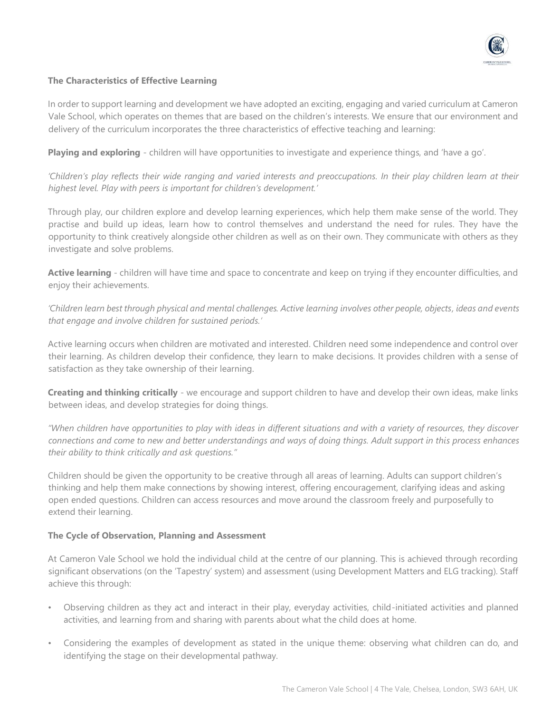

## **The Characteristics of Effective Learning**

In order to support learning and development we have adopted an exciting, engaging and varied curriculum at Cameron Vale School, which operates on themes that are based on the children's interests. We ensure that our environment and delivery of the curriculum incorporates the three characteristics of effective teaching and learning:

**Playing and exploring** - children will have opportunities to investigate and experience things, and 'have a go'.

*'Children's play reflects their wide ranging and varied interests and preoccupations. In their play children learn at their highest level. Play with peers is important for children's development.'* 

Through play, our children explore and develop learning experiences, which help them make sense of the world. They practise and build up ideas, learn how to control themselves and understand the need for rules. They have the opportunity to think creatively alongside other children as well as on their own. They communicate with others as they investigate and solve problems.

**Active learning** - children will have time and space to concentrate and keep on trying if they encounter difficulties, and enjoy their achievements.

*'Children learn best through physical and mental challenges. Active learning involves other people, objects, ideas and events that engage and involve children for sustained periods.'* 

Active learning occurs when children are motivated and interested. Children need some independence and control over their learning. As children develop their confidence, they learn to make decisions. It provides children with a sense of satisfaction as they take ownership of their learning.

**Creating and thinking critically** - we encourage and support children to have and develop their own ideas, make links between ideas, and develop strategies for doing things.

*"When children have opportunities to play with ideas in different situations and with a variety of resources, they discover connections and come to new and better understandings and ways of doing things. Adult support in this process enhances their ability to think critically and ask questions."* 

Children should be given the opportunity to be creative through all areas of learning. Adults can support children's thinking and help them make connections by showing interest, offering encouragement, clarifying ideas and asking open ended questions. Children can access resources and move around the classroom freely and purposefully to extend their learning.

## **The Cycle of Observation, Planning and Assessment**

At Cameron Vale School we hold the individual child at the centre of our planning. This is achieved through recording significant observations (on the 'Tapestry' system) and assessment (using Development Matters and ELG tracking). Staff achieve this through:

- Observing children as they act and interact in their play, everyday activities, child-initiated activities and planned activities, and learning from and sharing with parents about what the child does at home.
- Considering the examples of development as stated in the unique theme: observing what children can do, and identifying the stage on their developmental pathway.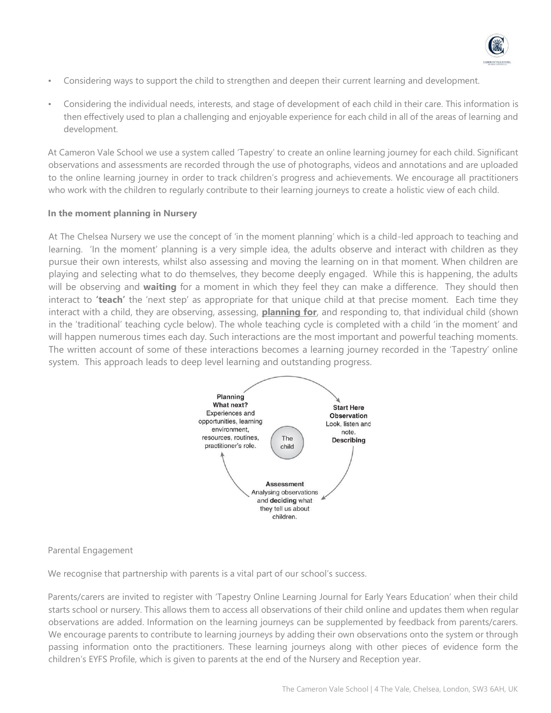

- Considering ways to support the child to strengthen and deepen their current learning and development.
- Considering the individual needs, interests, and stage of development of each child in their care. This information is then effectively used to plan a challenging and enjoyable experience for each child in all of the areas of learning and development.

At Cameron Vale School we use a system called 'Tapestry' to create an online learning journey for each child. Significant observations and assessments are recorded through the use of photographs, videos and annotations and are uploaded to the online learning journey in order to track children's progress and achievements. We encourage all practitioners who work with the children to regularly contribute to their learning journeys to create a holistic view of each child.

#### **In the moment planning in Nursery**

At The Chelsea Nursery we use the concept of 'in the moment planning' which is a child-led approach to teaching and learning. 'In the moment' planning is a very simple idea, the adults observe and interact with children as they pursue their own interests, whilst also assessing and moving the learning on in that moment. When children are playing and selecting what to do themselves, they become deeply engaged. While this is happening, the adults will be observing and **waiting** for a moment in which they feel they can make a difference. They should then interact to **'teach'** the 'next step' as appropriate for that unique child at that precise moment. Each time they interact with a child, they are observing, assessing, **planning for**, and responding to, that individual child (shown in the 'traditional' teaching cycle below). The whole teaching cycle is completed with a child 'in the moment' and will happen numerous times each day. Such interactions are the most important and powerful teaching moments. The written account of some of these interactions becomes a learning journey recorded in the 'Tapestry' online system. This approach leads to deep level learning and outstanding progress.



## Parental Engagement

We recognise that partnership with parents is a vital part of our school's success.

Parents/carers are invited to register with 'Tapestry Online Learning Journal for Early Years Education' when their child starts school or nursery. This allows them to access all observations of their child online and updates them when regular observations are added. Information on the learning journeys can be supplemented by feedback from parents/carers. We encourage parents to contribute to learning journeys by adding their own observations onto the system or through passing information onto the practitioners. These learning journeys along with other pieces of evidence form the children's EYFS Profile, which is given to parents at the end of the Nursery and Reception year.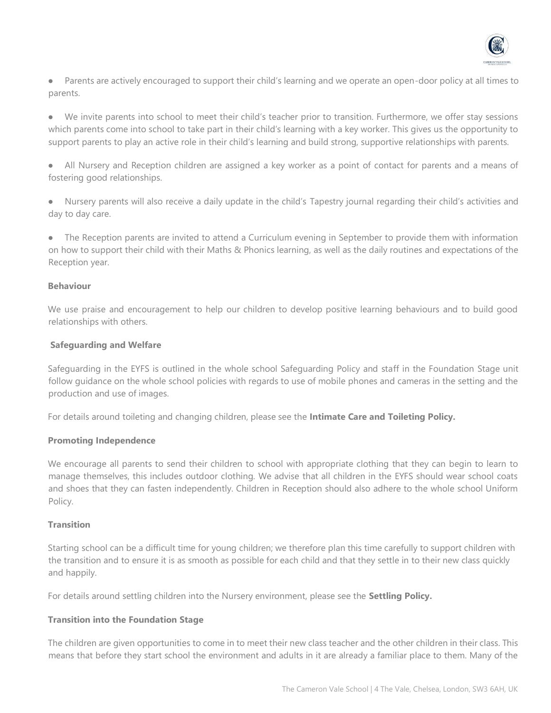

- Parents are actively encouraged to support their child's learning and we operate an open-door policy at all times to parents.
- We invite parents into school to meet their child's teacher prior to transition. Furthermore, we offer stay sessions which parents come into school to take part in their child's learning with a key worker. This gives us the opportunity to support parents to play an active role in their child's learning and build strong, supportive relationships with parents.
- All Nursery and Reception children are assigned a key worker as a point of contact for parents and a means of fostering good relationships.
- Nursery parents will also receive a daily update in the child's Tapestry journal regarding their child's activities and day to day care.
- The Reception parents are invited to attend a Curriculum evening in September to provide them with information on how to support their child with their Maths & Phonics learning, as well as the daily routines and expectations of the Reception year.

## **Behaviour**

We use praise and encouragement to help our children to develop positive learning behaviours and to build good relationships with others.

#### **Safeguarding and Welfare**

Safeguarding in the EYFS is outlined in the whole school Safeguarding Policy and staff in the Foundation Stage unit follow guidance on the whole school policies with regards to use of mobile phones and cameras in the setting and the production and use of images.

For details around toileting and changing children, please see the **Intimate Care and Toileting Policy.**

#### **Promoting Independence**

We encourage all parents to send their children to school with appropriate clothing that they can begin to learn to manage themselves, this includes outdoor clothing. We advise that all children in the EYFS should wear school coats and shoes that they can fasten independently. Children in Reception should also adhere to the whole school Uniform Policy.

#### **Transition**

Starting school can be a difficult time for young children; we therefore plan this time carefully to support children with the transition and to ensure it is as smooth as possible for each child and that they settle in to their new class quickly and happily.

For details around settling children into the Nursery environment, please see the **Settling Policy.**

## **Transition into the Foundation Stage**

The children are given opportunities to come in to meet their new class teacher and the other children in their class. This means that before they start school the environment and adults in it are already a familiar place to them. Many of the